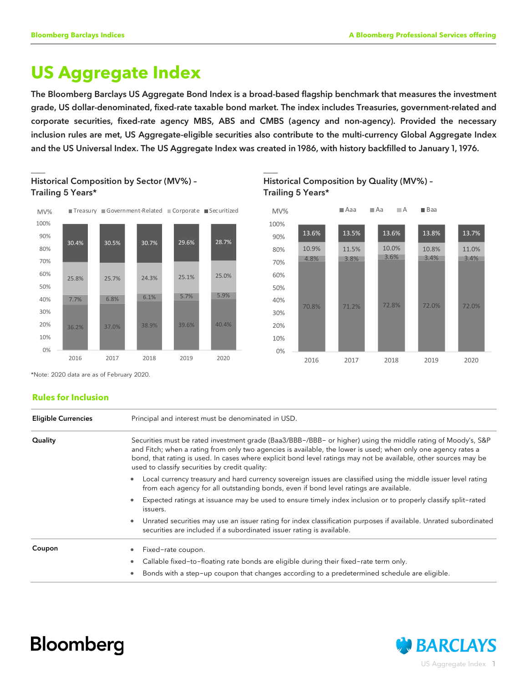# **US Aggregate Index**

The Bloomberg Barclays US Aggregate Bond Index is a broad-based flagship benchmark that measures the investment grade, US dollar-denominated, fixed-rate taxable bond market. The index includes Treasuries, government-related and corporate securities, fixed-rate agency MBS, ABS and CMBS (agency and non-agency). Provided the necessary inclusion rules are met, US Aggregate-eligible securities also contribute to the multi-currency Global Aggregate Index and the US Universal Index. The US Aggregate Index was created in 1986, with history backfilled to January 1, 1976.





 $\Box$  . The contract of the contract of the contract of the contract of the contract of the contract of the contract of





\*Note: 2020 data are as of February 2020.

## **Rules for Inclusion**

| <b>Eligible Currencies</b> | Principal and interest must be denominated in USD.                                                                                                                                                                                                                                                                                                                                                  |  |  |  |  |  |
|----------------------------|-----------------------------------------------------------------------------------------------------------------------------------------------------------------------------------------------------------------------------------------------------------------------------------------------------------------------------------------------------------------------------------------------------|--|--|--|--|--|
| Quality                    | Securities must be rated investment grade (Baa3/BBB-/BBB- or higher) using the middle rating of Moody's, S&P<br>and Fitch; when a rating from only two agencies is available, the lower is used; when only one agency rates a<br>bond, that rating is used. In cases where explicit bond level ratings may not be available, other sources may be<br>used to classify securities by credit quality: |  |  |  |  |  |
|                            | Local currency treasury and hard currency sovereign issues are classified using the middle issuer level rating<br>from each agency for all outstanding bonds, even if bond level ratings are available.                                                                                                                                                                                             |  |  |  |  |  |
|                            | Expected ratings at issuance may be used to ensure timely index inclusion or to properly classify split-rated<br>issuers.                                                                                                                                                                                                                                                                           |  |  |  |  |  |
|                            | Unrated securities may use an issuer rating for index classification purposes if available. Unrated subordinated<br>$\bullet$<br>securities are included if a subordinated issuer rating is available.                                                                                                                                                                                              |  |  |  |  |  |
| Coupon                     | Fixed-rate coupon.                                                                                                                                                                                                                                                                                                                                                                                  |  |  |  |  |  |
|                            | Callable fixed-to-floating rate bonds are eligible during their fixed-rate term only.                                                                                                                                                                                                                                                                                                               |  |  |  |  |  |
|                            | Bonds with a step-up coupon that changes according to a predetermined schedule are eligible.                                                                                                                                                                                                                                                                                                        |  |  |  |  |  |



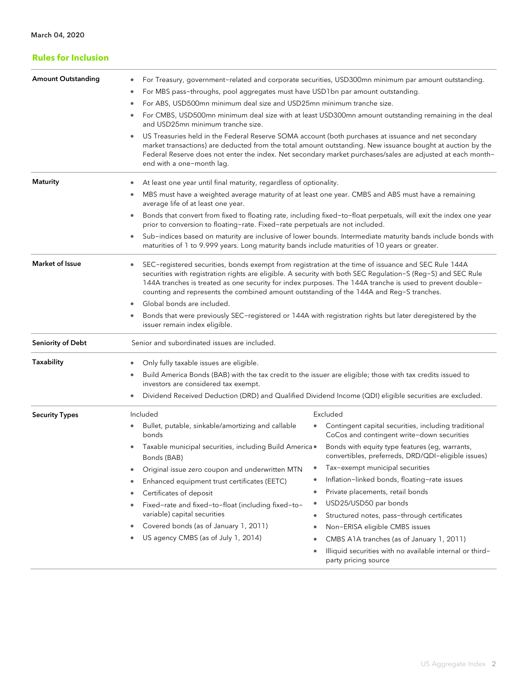| <b>Rules for Inclusion</b> |                                                                                                                                                                                                                                                                                                                                                                                                                                                                                                                                                                                                                                                                                                                                                                                                                                                                                                                                                                                                                                                                                                                                                                                                          |  |  |  |  |
|----------------------------|----------------------------------------------------------------------------------------------------------------------------------------------------------------------------------------------------------------------------------------------------------------------------------------------------------------------------------------------------------------------------------------------------------------------------------------------------------------------------------------------------------------------------------------------------------------------------------------------------------------------------------------------------------------------------------------------------------------------------------------------------------------------------------------------------------------------------------------------------------------------------------------------------------------------------------------------------------------------------------------------------------------------------------------------------------------------------------------------------------------------------------------------------------------------------------------------------------|--|--|--|--|
| <b>Amount Outstanding</b>  | For Treasury, government-related and corporate securities, USD300mn minimum par amount outstanding.<br>For MBS pass-throughs, pool aggregates must have USD1bn par amount outstanding.<br>۰<br>For ABS, USD500mn minimum deal size and USD25mn minimum tranche size.<br>For CMBS, USD500mn minimum deal size with at least USD300mn amount outstanding remaining in the deal<br>and USD25mn minimum tranche size.<br>US Treasuries held in the Federal Reserve SOMA account (both purchases at issuance and net secondary<br>$\bullet$<br>market transactions) are deducted from the total amount outstanding. New issuance bought at auction by the<br>Federal Reserve does not enter the index. Net secondary market purchases/sales are adjusted at each month-<br>end with a one-month lag.                                                                                                                                                                                                                                                                                                                                                                                                          |  |  |  |  |
| <b>Maturity</b>            | At least one year until final maturity, regardless of optionality.<br>MBS must have a weighted average maturity of at least one year. CMBS and ABS must have a remaining<br>۰<br>average life of at least one year.<br>Bonds that convert from fixed to floating rate, including fixed-to-float perpetuals, will exit the index one year<br>۰<br>prior to conversion to floating-rate. Fixed-rate perpetuals are not included.<br>Sub-indices based on maturity are inclusive of lower bounds. Intermediate maturity bands include bonds with<br>$\bullet$<br>maturities of 1 to 9.999 years. Long maturity bands include maturities of 10 years or greater.                                                                                                                                                                                                                                                                                                                                                                                                                                                                                                                                             |  |  |  |  |
| <b>Market of Issue</b>     | SEC-registered securities, bonds exempt from registration at the time of issuance and SEC Rule 144A<br>securities with registration rights are eligible. A security with both SEC Regulation-S (Reg-S) and SEC Rule<br>144A tranches is treated as one security for index purposes. The 144A tranche is used to prevent double-<br>counting and represents the combined amount outstanding of the 144A and Reg-S tranches.<br>Global bonds are included.<br>۰<br>Bonds that were previously SEC-registered or 144A with registration rights but later deregistered by the<br>issuer remain index eligible.                                                                                                                                                                                                                                                                                                                                                                                                                                                                                                                                                                                               |  |  |  |  |
| <b>Seniority of Debt</b>   | Senior and subordinated issues are included.                                                                                                                                                                                                                                                                                                                                                                                                                                                                                                                                                                                                                                                                                                                                                                                                                                                                                                                                                                                                                                                                                                                                                             |  |  |  |  |
| Taxability                 | Only fully taxable issues are eligible.<br>٠<br>Build America Bonds (BAB) with the tax credit to the issuer are eligible; those with tax credits issued to<br>۰<br>investors are considered tax exempt.<br>Dividend Received Deduction (DRD) and Qualified Dividend Income (QDI) eligible securities are excluded.<br>۰                                                                                                                                                                                                                                                                                                                                                                                                                                                                                                                                                                                                                                                                                                                                                                                                                                                                                  |  |  |  |  |
| <b>Security Types</b>      | Included<br>Excluded<br>Contingent capital securities, including traditional<br>Bullet, putable, sinkable/amortizing and callable<br>۰<br>CoCos and contingent write-down securities<br>bonds<br>Taxable municipal securities, including Build America .<br>Bonds with equity type features (eg, warrants,<br>$\bullet$<br>convertibles, preferreds, DRD/QDI-eligible issues)<br>Bonds (BAB)<br>Tax-exempt municipal securities<br>$\bullet$<br>Original issue zero coupon and underwritten MTN<br>۰<br>Inflation-linked bonds, floating-rate issues<br>$\bullet$<br>Enhanced equipment trust certificates (EETC)<br>۰<br>Private placements, retail bonds<br>$\bullet$<br>Certificates of deposit<br>٠<br>USD25/USD50 par bonds<br>$\bullet$<br>Fixed-rate and fixed-to-float (including fixed-to-<br>۰<br>variable) capital securities<br>Structured notes, pass-through certificates<br>$\bullet$<br>Covered bonds (as of January 1, 2011)<br>Non-ERISA eligible CMBS issues<br>۰<br>$\bullet$<br>US agency CMBS (as of July 1, 2014)<br>CMBS A1A tranches (as of January 1, 2011)<br>۰<br>$\bullet$<br>Illiquid securities with no available internal or third-<br>$\bullet$<br>party pricing source |  |  |  |  |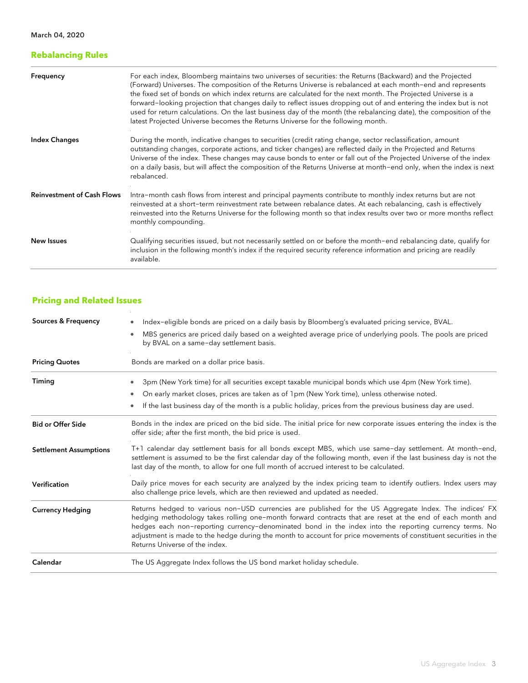# **Rebalancing Rules**

| Frequency                         | For each index, Bloomberg maintains two universes of securities: the Returns (Backward) and the Projected<br>(Forward) Universes. The composition of the Returns Universe is rebalanced at each month-end and represents<br>the fixed set of bonds on which index returns are calculated for the next month. The Projected Universe is a<br>forward-looking projection that changes daily to reflect issues dropping out of and entering the index but is not<br>used for return calculations. On the last business day of the month (the rebalancing date), the composition of the<br>latest Projected Universe becomes the Returns Universe for the following month. |
|-----------------------------------|------------------------------------------------------------------------------------------------------------------------------------------------------------------------------------------------------------------------------------------------------------------------------------------------------------------------------------------------------------------------------------------------------------------------------------------------------------------------------------------------------------------------------------------------------------------------------------------------------------------------------------------------------------------------|
| <b>Index Changes</b>              | During the month, indicative changes to securities (credit rating change, sector reclassification, amount<br>outstanding changes, corporate actions, and ticker changes) are reflected daily in the Projected and Returns<br>Universe of the index. These changes may cause bonds to enter or fall out of the Projected Universe of the index<br>on a daily basis, but will affect the composition of the Returns Universe at month-end only, when the index is next<br>rebalanced.                                                                                                                                                                                    |
| <b>Reinvestment of Cash Flows</b> | Intra-month cash flows from interest and principal payments contribute to monthly index returns but are not<br>reinvested at a short-term reinvestment rate between rebalance dates. At each rebalancing, cash is effectively<br>reinvested into the Returns Universe for the following month so that index results over two or more months reflect<br>monthly compounding.                                                                                                                                                                                                                                                                                            |
| New Issues                        | Qualifying securities issued, but not necessarily settled on or before the month-end rebalancing date, qualify for<br>inclusion in the following month's index if the required security reference information and pricing are readily<br>available.                                                                                                                                                                                                                                                                                                                                                                                                                    |

# **Pricing and Related Issues**

| Index-eligible bonds are priced on a daily basis by Bloomberg's evaluated pricing service, BVAL.                                                                                                                                                                                                                                                                                                                                                                                    |  |  |  |  |  |
|-------------------------------------------------------------------------------------------------------------------------------------------------------------------------------------------------------------------------------------------------------------------------------------------------------------------------------------------------------------------------------------------------------------------------------------------------------------------------------------|--|--|--|--|--|
| MBS generics are priced daily based on a weighted average price of underlying pools. The pools are priced<br>$\bullet$<br>by BVAL on a same-day settlement basis.                                                                                                                                                                                                                                                                                                                   |  |  |  |  |  |
| Bonds are marked on a dollar price basis.                                                                                                                                                                                                                                                                                                                                                                                                                                           |  |  |  |  |  |
| 3pm (New York time) for all securities except taxable municipal bonds which use 4pm (New York time).                                                                                                                                                                                                                                                                                                                                                                                |  |  |  |  |  |
| On early market closes, prices are taken as of 1pm (New York time), unless otherwise noted.<br>٠                                                                                                                                                                                                                                                                                                                                                                                    |  |  |  |  |  |
| If the last business day of the month is a public holiday, prices from the previous business day are used.<br>۰                                                                                                                                                                                                                                                                                                                                                                     |  |  |  |  |  |
| Bonds in the index are priced on the bid side. The initial price for new corporate issues entering the index is the<br>offer side; after the first month, the bid price is used.                                                                                                                                                                                                                                                                                                    |  |  |  |  |  |
| T+1 calendar day settlement basis for all bonds except MBS, which use same-day settlement. At month-end,<br>settlement is assumed to be the first calendar day of the following month, even if the last business day is not the<br>last day of the month, to allow for one full month of accrued interest to be calculated.                                                                                                                                                         |  |  |  |  |  |
| Daily price moves for each security are analyzed by the index pricing team to identify outliers. Index users may<br>also challenge price levels, which are then reviewed and updated as needed.                                                                                                                                                                                                                                                                                     |  |  |  |  |  |
| Returns hedged to various non-USD currencies are published for the US Aggregate Index. The indices' FX<br>hedging methodology takes rolling one-month forward contracts that are reset at the end of each month and<br>hedges each non-reporting currency-denominated bond in the index into the reporting currency terms. No<br>adjustment is made to the hedge during the month to account for price movements of constituent securities in the<br>Returns Universe of the index. |  |  |  |  |  |
| The US Aggregate Index follows the US bond market holiday schedule.                                                                                                                                                                                                                                                                                                                                                                                                                 |  |  |  |  |  |
|                                                                                                                                                                                                                                                                                                                                                                                                                                                                                     |  |  |  |  |  |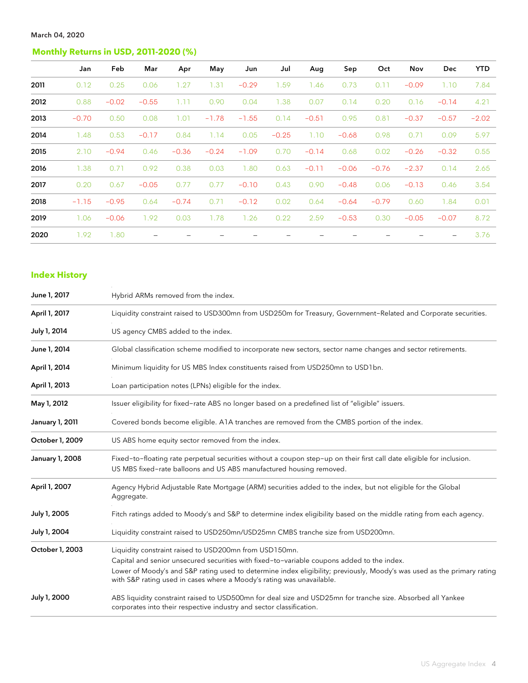# **Monthly Returns in USD, 2011-2020 (%)**

|      | Jan     | Feb     | Mar     | Apr     | May     | Jun     | Jul     | Aug     | Sep     | Oct     | Nov     | <b>Dec</b> | <b>YTD</b> |
|------|---------|---------|---------|---------|---------|---------|---------|---------|---------|---------|---------|------------|------------|
| 2011 | 0.12    | 0.25    | 0.06    | 1.27    | 1.31    | $-0.29$ | 1.59    | 1.46    | 0.73    | 0.11    | $-0.09$ | 1.10       | 7.84       |
| 2012 | 0.88    | $-0.02$ | $-0.55$ | 1.11    | 0.90    | 0.04    | 1.38    | 0.07    | 0.14    | 0.20    | 0.16    | $-0.14$    | 4.21       |
| 2013 | $-0.70$ | 0.50    | 0.08    | 1.01    | $-1.78$ | $-1.55$ | 0.14    | $-0.51$ | 0.95    | 0.81    | $-0.37$ | $-0.57$    | $-2.02$    |
| 2014 | 1.48    | 0.53    | $-0.17$ | 0.84    | 1.14    | 0.05    | $-0.25$ | 1.10    | $-0.68$ | 0.98    | 0.71    | 0.09       | 5.97       |
| 2015 | 2.10    | $-0.94$ | 0.46    | $-0.36$ | $-0.24$ | $-1.09$ | 0.70    | $-0.14$ | 0.68    | 0.02    | $-0.26$ | $-0.32$    | 0.55       |
| 2016 | 1.38    | 0.71    | 0.92    | 0.38    | 0.03    | 1.80    | 0.63    | $-0.11$ | $-0.06$ | $-0.76$ | $-2.37$ | 0.14       | 2.65       |
| 2017 | 0.20    | 0.67    | $-0.05$ | 0.77    | 0.77    | $-0.10$ | 0.43    | 0.90    | $-0.48$ | 0.06    | $-0.13$ | 0.46       | 3.54       |
| 2018 | $-1.15$ | $-0.95$ | 0.64    | $-0.74$ | 0.71    | $-0.12$ | 0.02    | 0.64    | $-0.64$ | $-0.79$ | 0.60    | 1.84       | 0.01       |
| 2019 | 1.06    | $-0.06$ | 1.92    | 0.03    | 1.78    | 1.26    | 0.22    | 2.59    | $-0.53$ | 0.30    | $-0.05$ | $-0.07$    | 8.72       |
| 2020 | 1.92    | 1.80    |         |         |         |         |         |         |         |         |         |            | 3.76       |

## **Index History**

| June 1, 2017           | Hybrid ARMs removed from the index.                                                                                                                                                              |
|------------------------|--------------------------------------------------------------------------------------------------------------------------------------------------------------------------------------------------|
| April 1, 2017          | Liquidity constraint raised to USD300mn from USD250m for Treasury, Government-Related and Corporate securities.                                                                                  |
| July 1, 2014           | US agency CMBS added to the index.                                                                                                                                                               |
| June 1, 2014           | Global classification scheme modified to incorporate new sectors, sector name changes and sector retirements.                                                                                    |
| April 1, 2014          | Minimum liquidity for US MBS Index constituents raised from USD250mn to USD1bn.                                                                                                                  |
| April 1, 2013          | Loan participation notes (LPNs) eligible for the index.                                                                                                                                          |
| May 1, 2012            | Issuer eligibility for fixed-rate ABS no longer based on a predefined list of "eligible" issuers.                                                                                                |
| <b>January 1, 2011</b> | Covered bonds become eligible. A1A tranches are removed from the CMBS portion of the index.                                                                                                      |
| October 1, 2009        | US ABS home equity sector removed from the index.                                                                                                                                                |
| January 1, 2008        | Fixed-to-floating rate perpetual securities without a coupon step-up on their first call date eligible for inclusion.<br>US MBS fixed-rate balloons and US ABS manufactured housing removed.     |
| April 1, 2007          | Agency Hybrid Adjustable Rate Mortgage (ARM) securities added to the index, but not eligible for the Global<br>Aggregate.                                                                        |
| July 1, 2005           | Fitch ratings added to Moody's and S&P to determine index eligibility based on the middle rating from each agency.                                                                               |
| July 1, 2004           | Liquidity constraint raised to USD250mn/USD25mn CMBS tranche size from USD200mn.                                                                                                                 |
| October 1, 2003        | Liquidity constraint raised to USD200mn from USD150mn.                                                                                                                                           |
|                        | Capital and senior unsecured securities with fixed-to-variable coupons added to the index.                                                                                                       |
|                        | Lower of Moody's and S&P rating used to determine index eligibility; previously, Moody's was used as the primary rating<br>with S&P rating used in cases where a Moody's rating was unavailable. |
| July 1, 2000           | ABS liquidity constraint raised to USD500mn for deal size and USD25mn for tranche size. Absorbed all Yankee<br>corporates into their respective industry and sector classification.              |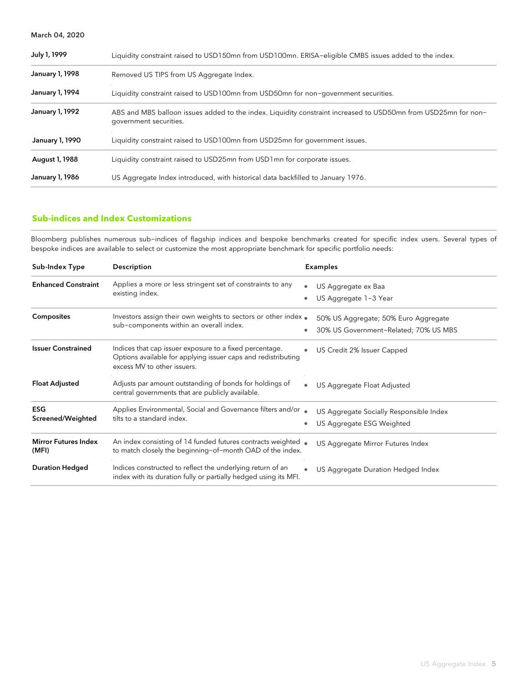| July 1, 1999    | Liquidity constraint raised to USD150mn from USD100mn. ERISA-eligible CMBS issues added to the index.                                    |  |  |  |
|-----------------|------------------------------------------------------------------------------------------------------------------------------------------|--|--|--|
| January 1, 1998 | Removed US TIPS from US Aggregate Index.                                                                                                 |  |  |  |
| January 1, 1994 | Liquidity constraint raised to USD100mn from USD50mn for non-government securities.                                                      |  |  |  |
| January 1, 1992 | ABS and MBS balloon issues added to the index. Liquidity constraint increased to USD50mn from USD25mn for non-<br>government securities. |  |  |  |
| January 1, 1990 | Liquidity constraint raised to USD100mn from USD25mn for government issues.                                                              |  |  |  |
| August 1, 1988  | Liquidity constraint raised to USD25mn from USD1mn for corporate issues.                                                                 |  |  |  |
| January 1, 1986 | US Aggregate Index introduced, with historical data backfilled to January 1976.                                                          |  |  |  |

## **Sub-indices and Index Customizations**

Bloomberg publishes numerous sub-indices of flagship indices and bespoke benchmarks created for specific index users. Several types of bespoke indices are available to select or customize the most appropriate benchmark for specific portfolio needs:

| Sub-Index Type                       | Description                                                                                                                                             | <b>Examples</b>                                                               |
|--------------------------------------|---------------------------------------------------------------------------------------------------------------------------------------------------------|-------------------------------------------------------------------------------|
| <b>Enhanced Constraint</b>           | Applies a more or less stringent set of constraints to any<br>existing index.                                                                           | US Aggregate ex Baa<br>$\bullet$<br>US Aggregate 1-3 Year                     |
| <b>Composites</b>                    | Investors assign their own weights to sectors or other index.<br>sub-components within an overall index.                                                | 50% US Aggregate; 50% Euro Aggregate<br>30% US Government-Related; 70% US MBS |
| <b>Issuer Constrained</b>            | Indices that cap issuer exposure to a fixed percentage.<br>Options available for applying issuer caps and redistributing<br>excess MV to other issuers. | US Credit 2% Issuer Capped                                                    |
| <b>Float Adjusted</b>                | Adjusts par amount outstanding of bonds for holdings of<br>central governments that are publicly available.                                             | US Aggregate Float Adjusted<br>$\bullet$                                      |
| ESG<br>Screened/Weighted             | Applies Environmental, Social and Governance filters and/or<br>tilts to a standard index.                                                               | US Aggregate Socially Responsible Index<br>US Aggregate ESG Weighted          |
| <b>Mirror Futures Index</b><br>(MFI) | An index consisting of 14 funded futures contracts weighted<br>to match closely the beginning-of-month OAD of the index.                                | US Aggregate Mirror Futures Index                                             |
| <b>Duration Hedged</b>               | Indices constructed to reflect the underlying return of an<br>index with its duration fully or partially hedged using its MFI.                          | US Aggregate Duration Hedged Index                                            |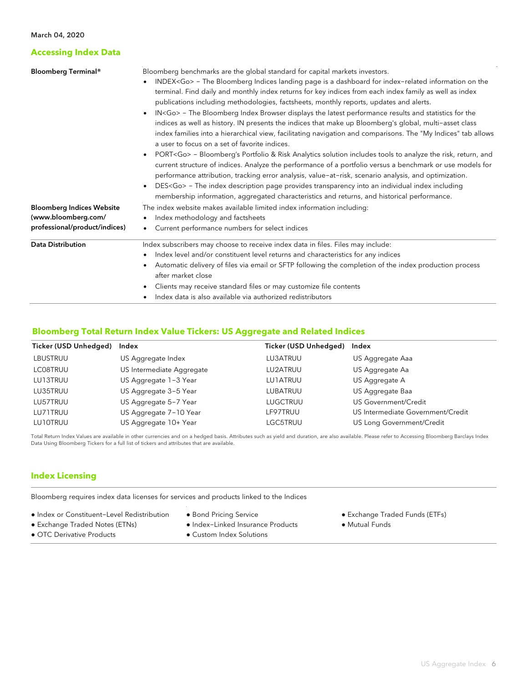## **Accessing Index Data**

| <b>Bloomberg Terminal®</b>       | Bloomberg benchmarks are the global standard for capital markets investors.                                                                         |  |  |  |  |  |
|----------------------------------|-----------------------------------------------------------------------------------------------------------------------------------------------------|--|--|--|--|--|
|                                  | INDEX <go> - The Bloomberg Indices landing page is a dashboard for index-related information on the<br/><math display="inline">\bullet</math></go>  |  |  |  |  |  |
|                                  | terminal. Find daily and monthly index returns for key indices from each index family as well as index                                              |  |  |  |  |  |
|                                  | publications including methodologies, factsheets, monthly reports, updates and alerts.                                                              |  |  |  |  |  |
|                                  | IN <go> - The Bloomberg Index Browser displays the latest performance results and statistics for the<br/><math display="inline">\bullet</math></go> |  |  |  |  |  |
|                                  | indices as well as history. IN presents the indices that make up Bloomberg's global, multi-asset class                                              |  |  |  |  |  |
|                                  | index families into a hierarchical view, facilitating navigation and comparisons. The "My Indices" tab allows                                       |  |  |  |  |  |
|                                  | a user to focus on a set of favorite indices.                                                                                                       |  |  |  |  |  |
|                                  | PORT <go> - Bloomberg's Portfolio &amp; Risk Analytics solution includes tools to analyze the risk, return, and<br/>٠</go>                          |  |  |  |  |  |
|                                  | current structure of indices. Analyze the performance of a portfolio versus a benchmark or use models for                                           |  |  |  |  |  |
|                                  | performance attribution, tracking error analysis, value-at-risk, scenario analysis, and optimization.                                               |  |  |  |  |  |
|                                  | DES <go> - The index description page provides transparency into an individual index including<br/><math display="inline">\bullet</math></go>       |  |  |  |  |  |
|                                  | membership information, aggregated characteristics and returns, and historical performance.                                                         |  |  |  |  |  |
| <b>Bloomberg Indices Website</b> | The index website makes available limited index information including:                                                                              |  |  |  |  |  |
| (www.bloomberg.com/              | Index methodology and factsheets                                                                                                                    |  |  |  |  |  |
| professional/product/indices)    | Current performance numbers for select indices<br>$\bullet$                                                                                         |  |  |  |  |  |
| <b>Data Distribution</b>         | Index subscribers may choose to receive index data in files. Files may include:                                                                     |  |  |  |  |  |
|                                  | Index level and/or constituent level returns and characteristics for any indices<br>٠                                                               |  |  |  |  |  |
|                                  | Automatic delivery of files via email or SFTP following the completion of the index production process                                              |  |  |  |  |  |
|                                  | after market close                                                                                                                                  |  |  |  |  |  |
|                                  | Clients may receive standard files or may customize file contents                                                                                   |  |  |  |  |  |
|                                  | Index data is also available via authorized redistributors                                                                                          |  |  |  |  |  |
|                                  |                                                                                                                                                     |  |  |  |  |  |

### **Bloomberg Total Return Index Value Tickers: US Aggregate and Related Indices**

| Ticker (USD Unhedged) | Index                     | Ticker (USD Unhedged) Index |                                   |
|-----------------------|---------------------------|-----------------------------|-----------------------------------|
| LBUSTRUU              | US Aggregate Index        | LU3ATRUU                    | US Aggregate Aaa                  |
| LC08TRUU              | US Intermediate Aggregate | LU2ATRUU                    | US Aggregate Aa                   |
| LU13TRUU              | US Aggregate 1-3 Year     | <b>LU1ATRUU</b>             | US Aggregate A                    |
| LU35TRUU              | US Aggregate 3-5 Year     | LUBATRUU                    | US Aggregate Baa                  |
| LU57TRUU              | US Aggregate 5-7 Year     | LUGCTRUU                    | US Government/Credit              |
| LU71TRUU              | US Aggregate 7-10 Year    | LF97TRUU                    | US Intermediate Government/Credit |
| LU10TRUU              | US Aggregate 10+ Year     | LGC5TRUU                    | US Long Government/Credit         |

Total Return Index Values are available in other currencies and on a hedged basis. Attributes such as yield and duration, are also available. Please refer to Accessing Bloomberg Barclays Index Data Using Bloomberg Tickers for a full list of tickers and attributes that are available.

## **Index Licensing**

Bloomberg requires index data licenses for services and products linked to the Indices

- Index or Constituent-Level Redistribution
- Bond Pricing Service
- Exchange Traded Funds (ETFs)
- Exchange Traded Notes (ETNs)
- 
- OTC Derivative Products
- Index-Linked Insurance Products
- Custom Index Solutions

● Mutual Funds